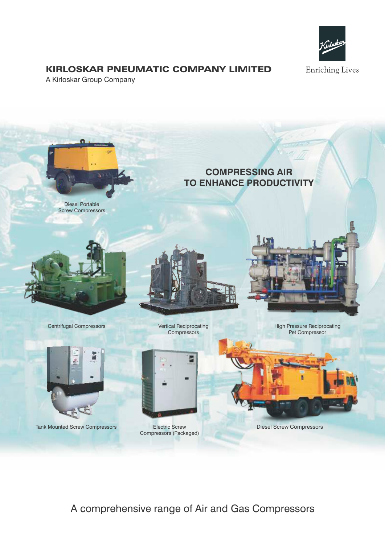

## KIRLOSKAR PNEUMATIC COMPANY LIMITED

A Kirloskar Group Company



A comprehensive range of Air and Gas Compressors